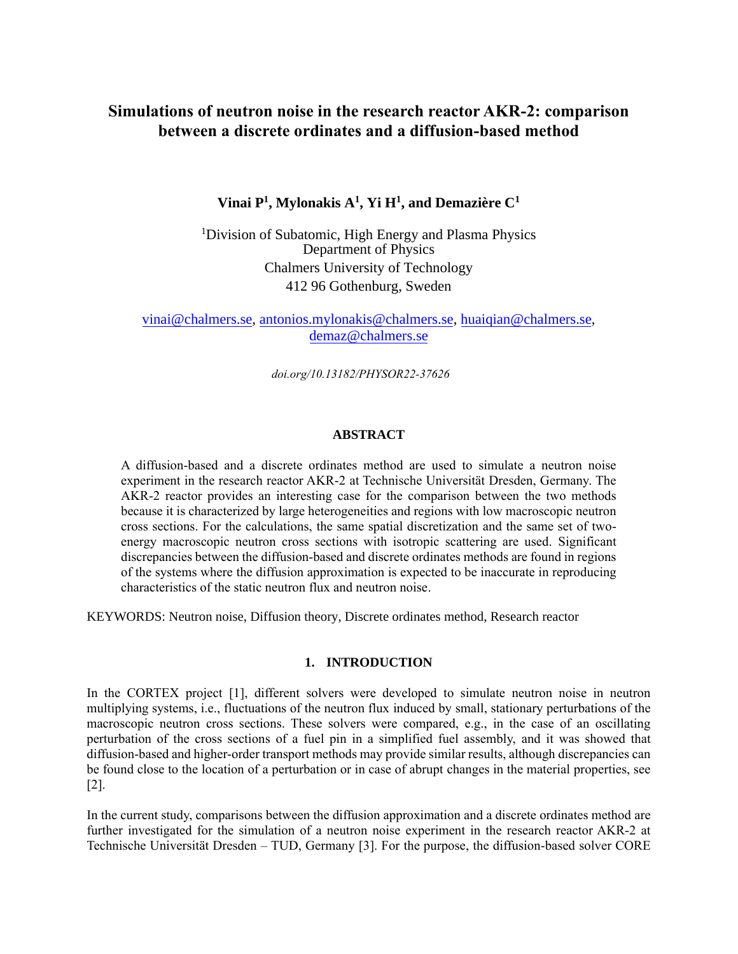# **Simulations of neutron noise in the research reactor AKR-2: comparison between a discrete ordinates and a diffusion-based method**

# **Vinai P<sup>1</sup> , Mylonakis A<sup>1</sup> , Yi H<sup>1</sup> , and Demazière C<sup>1</sup>**

<sup>1</sup>Division of Subatomic, High Energy and Plasma Physics Department of Physics Chalmers University of Technology 412 96 Gothenburg, Sweden

[vinai@chalmers.se,](mailto:vinai@chalmers.se) [antonios.mylonakis@chalmers.se,](mailto:antonios.mylonakis@chalmers.se) [huaiqian@chalmers.se,](mailto:huaiqian@chalmers.se) [demaz@chalmers.se](mailto:demaz@chalmers.se)

*doi.org/10.13182/PHYSOR22-37626*

## **ABSTRACT**

A diffusion-based and a discrete ordinates method are used to simulate a neutron noise experiment in the research reactor AKR-2 at Technische Universität Dresden, Germany. The AKR-2 reactor provides an interesting case for the comparison between the two methods because it is characterized by large heterogeneities and regions with low macroscopic neutron cross sections. For the calculations, the same spatial discretization and the same set of twoenergy macroscopic neutron cross sections with isotropic scattering are used. Significant discrepancies between the diffusion-based and discrete ordinates methods are found in regions of the systems where the diffusion approximation is expected to be inaccurate in reproducing characteristics of the static neutron flux and neutron noise.

KEYWORDS: Neutron noise, Diffusion theory, Discrete ordinates method, Research reactor

## **1. INTRODUCTION**

In the CORTEX project [1], different solvers were developed to simulate neutron noise in neutron multiplying systems, i.e., fluctuations of the neutron flux induced by small, stationary perturbations of the macroscopic neutron cross sections. These solvers were compared, e.g., in the case of an oscillating perturbation of the cross sections of a fuel pin in a simplified fuel assembly, and it was showed that diffusion-based and higher-order transport methods may provide similar results, although discrepancies can be found close to the location of a perturbation or in case of abrupt changes in the material properties, see [2].

In the current study, comparisons between the diffusion approximation and a discrete ordinates method are further investigated for the simulation of a neutron noise experiment in the research reactor AKR-2 at Technische Universität Dresden – TUD, Germany [3]. For the purpose, the diffusion-based solver CORE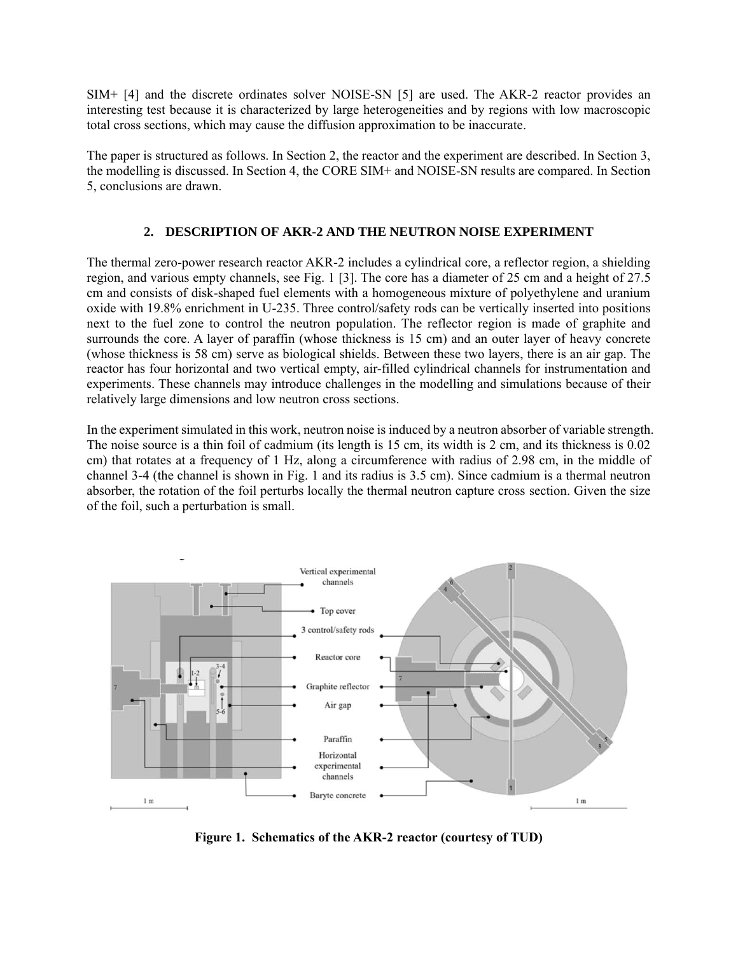SIM+ [4] and the discrete ordinates solver NOISE-SN [5] are used. The AKR-2 reactor provides an interesting test because it is characterized by large heterogeneities and by regions with low macroscopic total cross sections, which may cause the diffusion approximation to be inaccurate.

The paper is structured as follows. In Section 2, the reactor and the experiment are described. In Section 3, the modelling is discussed. In Section 4, the CORE SIM+ and NOISE-SN results are compared. In Section 5, conclusions are drawn.

# **2. DESCRIPTION OF AKR-2 AND THE NEUTRON NOISE EXPERIMENT**

The thermal zero-power research reactor AKR-2 includes a cylindrical core, a reflector region, a shielding region, and various empty channels, see Fig. 1 [3]. The core has a diameter of 25 cm and a height of 27.5 cm and consists of disk-shaped fuel elements with a homogeneous mixture of polyethylene and uranium oxide with 19.8% enrichment in U-235. Three control/safety rods can be vertically inserted into positions next to the fuel zone to control the neutron population. The reflector region is made of graphite and surrounds the core. A layer of paraffin (whose thickness is 15 cm) and an outer layer of heavy concrete (whose thickness is 58 cm) serve as biological shields. Between these two layers, there is an air gap. The reactor has four horizontal and two vertical empty, air-filled cylindrical channels for instrumentation and experiments. These channels may introduce challenges in the modelling and simulations because of their relatively large dimensions and low neutron cross sections.

In the experiment simulated in this work, neutron noise is induced by a neutron absorber of variable strength. The noise source is a thin foil of cadmium (its length is 15 cm, its width is 2 cm, and its thickness is 0.02 cm) that rotates at a frequency of 1 Hz, along a circumference with radius of 2.98 cm, in the middle of channel 3-4 (the channel is shown in Fig. 1 and its radius is 3.5 cm). Since cadmium is a thermal neutron absorber, the rotation of the foil perturbs locally the thermal neutron capture cross section. Given the size of the foil, such a perturbation is small.



**Figure 1. Schematics of the AKR-2 reactor (courtesy of TUD)**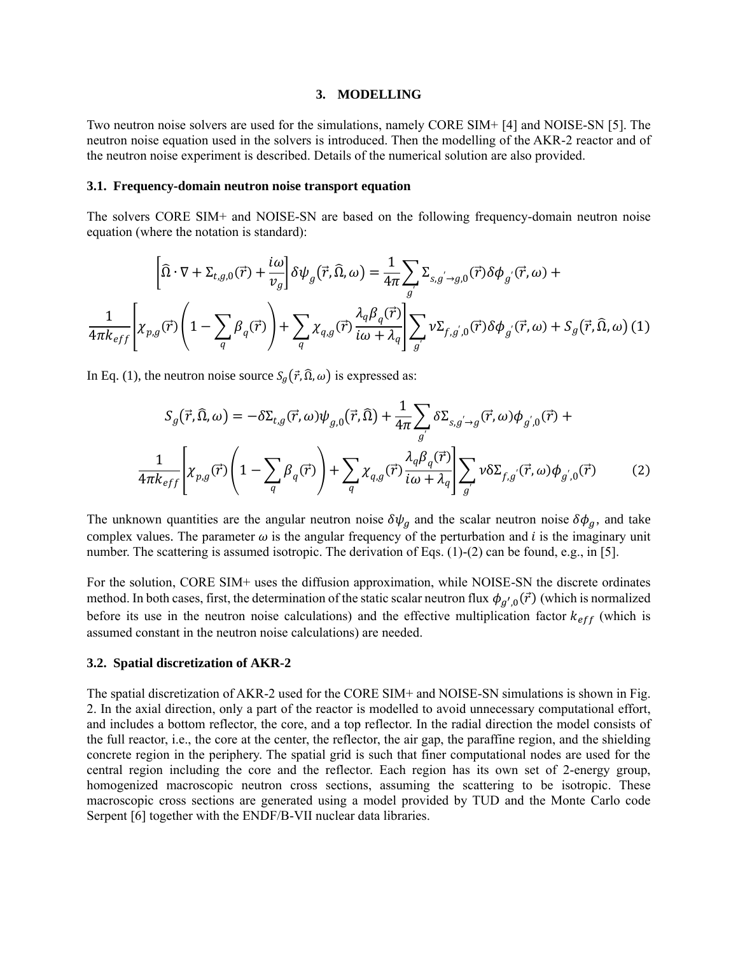#### **3. MODELLING**

Two neutron noise solvers are used for the simulations, namely CORE SIM+ [4] and NOISE-SN [5]. The neutron noise equation used in the solvers is introduced. Then the modelling of the AKR-2 reactor and of the neutron noise experiment is described. Details of the numerical solution are also provided.

#### **3.1. Frequency-domain neutron noise transport equation**

The solvers CORE SIM+ and NOISE-SN are based on the following frequency-domain neutron noise equation (where the notation is standard):

$$
\left[\widehat{\Omega}\cdot\nabla+\Sigma_{t,g,0}(\vec{r})+\frac{i\omega}{v_g}\right]\delta\psi_g(\vec{r},\widehat{\Omega},\omega)=\frac{1}{4\pi}\sum_{g'}\Sigma_{s,g'\to g,0}(\vec{r})\delta\phi_{g'}(\vec{r},\omega)+\frac{1}{4\pi k_{eff}}\left[\chi_{p,g}(\vec{r})\left(1-\sum_{q}\beta_q(\vec{r})\right)+\sum_{q}\chi_{q,g}(\vec{r})\frac{\lambda_q\beta_q(\vec{r})}{i\omega+\lambda_q}\right]\sum_{g'}\nu\Sigma_{f,g',0}(\vec{r})\delta\phi_{g'}(\vec{r},\omega)+S_g(\vec{r},\widehat{\Omega},\omega)(1)
$$

In Eq. (1), the neutron noise source  $S_g(\vec{r}, \hat{\Omega}, \omega)$  is expressed as:

$$
S_g(\vec{r}, \hat{\Omega}, \omega) = -\delta \Sigma_{t,g}(\vec{r}, \omega) \psi_{g,0}(\vec{r}, \hat{\Omega}) + \frac{1}{4\pi \sum_{g'} \delta \Sigma_{s,g' \to g}(\vec{r}, \omega) \phi_{g',0}(\vec{r}) +
$$

$$
\frac{1}{4\pi k_{eff}} \left[ \chi_{p,g}(\vec{r}) \left( 1 - \sum_{q} \beta_q(\vec{r}) \right) + \sum_{q} \chi_{q,g}(\vec{r}) \frac{\lambda_q \beta_q(\vec{r})}{i\omega + \lambda_q} \right] \sum_{g'} \nu \delta \Sigma_{f,g'}(\vec{r}, \omega) \phi_{g',0}(\vec{r}) \tag{2}
$$

The unknown quantities are the angular neutron noise  $\delta \psi_g$  and the scalar neutron noise  $\delta \phi_g$ , and take complex values. The parameter  $\omega$  is the angular frequency of the perturbation and *i* is the imaginary unit number. The scattering is assumed isotropic. The derivation of Eqs. (1)-(2) can be found, e.g., in [5].

For the solution, CORE SIM+ uses the diffusion approximation, while NOISE-SN the discrete ordinates method. In both cases, first, the determination of the static scalar neutron flux  $\phi_{g',0}(\vec{r})$  (which is normalized before its use in the neutron noise calculations) and the effective multiplication factor  $k_{eff}$  (which is assumed constant in the neutron noise calculations) are needed.

#### **3.2. Spatial discretization of AKR-2**

The spatial discretization of AKR-2 used for the CORE SIM+ and NOISE-SN simulations is shown in Fig. 2. In the axial direction, only a part of the reactor is modelled to avoid unnecessary computational effort, and includes a bottom reflector, the core, and a top reflector. In the radial direction the model consists of the full reactor, i.e., the core at the center, the reflector, the air gap, the paraffine region, and the shielding concrete region in the periphery. The spatial grid is such that finer computational nodes are used for the central region including the core and the reflector. Each region has its own set of 2-energy group, homogenized macroscopic neutron cross sections, assuming the scattering to be isotropic. These macroscopic cross sections are generated using a model provided by TUD and the Monte Carlo code Serpent [6] together with the ENDF/B-VII nuclear data libraries.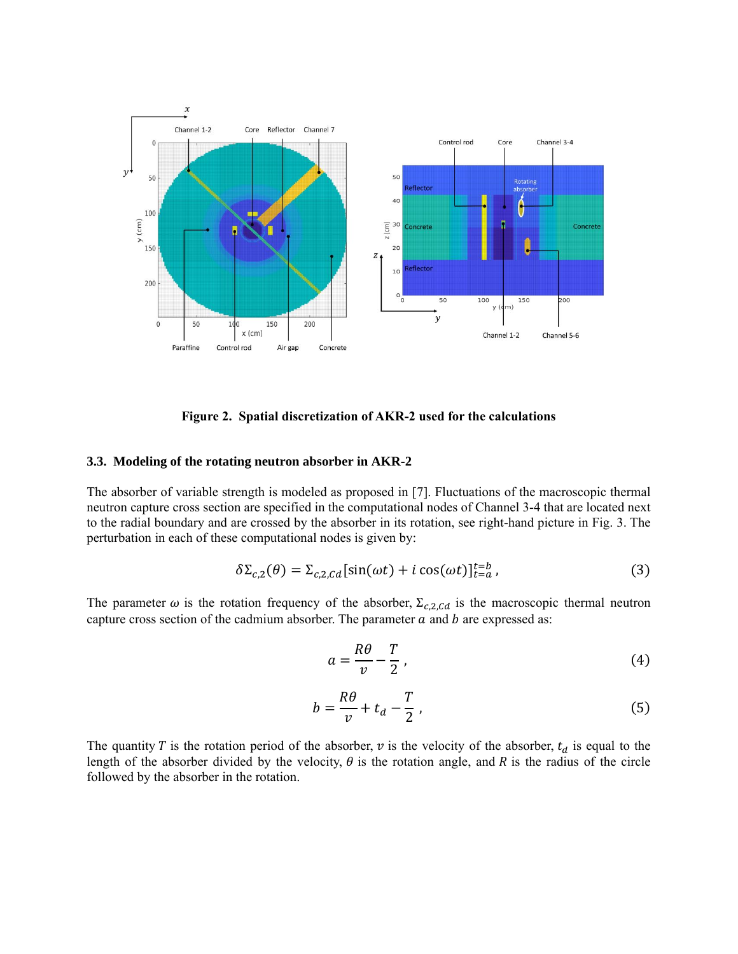

**Figure 2. Spatial discretization of AKR-2 used for the calculations**

#### **3.3. Modeling of the rotating neutron absorber in AKR-2**

The absorber of variable strength is modeled as proposed in [7]. Fluctuations of the macroscopic thermal neutron capture cross section are specified in the computational nodes of Channel 3-4 that are located next to the radial boundary and are crossed by the absorber in its rotation, see right-hand picture in Fig. 3. The perturbation in each of these computational nodes is given by:

$$
\delta \Sigma_{c,2}(\theta) = \Sigma_{c,2,Cd} [\sin(\omega t) + i \cos(\omega t)]_{t=a}^{t=b}, \qquad (3)
$$

The parameter  $\omega$  is the rotation frequency of the absorber,  $\Sigma_{c,2, Cd}$  is the macroscopic thermal neutron capture cross section of the cadmium absorber. The parameter  $a$  and  $b$  are expressed as:

$$
a = \frac{R\theta}{v} - \frac{T}{2},\tag{4}
$$

$$
b = \frac{R\theta}{v} + t_d - \frac{T}{2} \,,\tag{5}
$$

The quantity T is the rotation period of the absorber,  $\nu$  is the velocity of the absorber,  $t_d$  is equal to the length of the absorber divided by the velocity,  $\theta$  is the rotation angle, and R is the radius of the circle followed by the absorber in the rotation.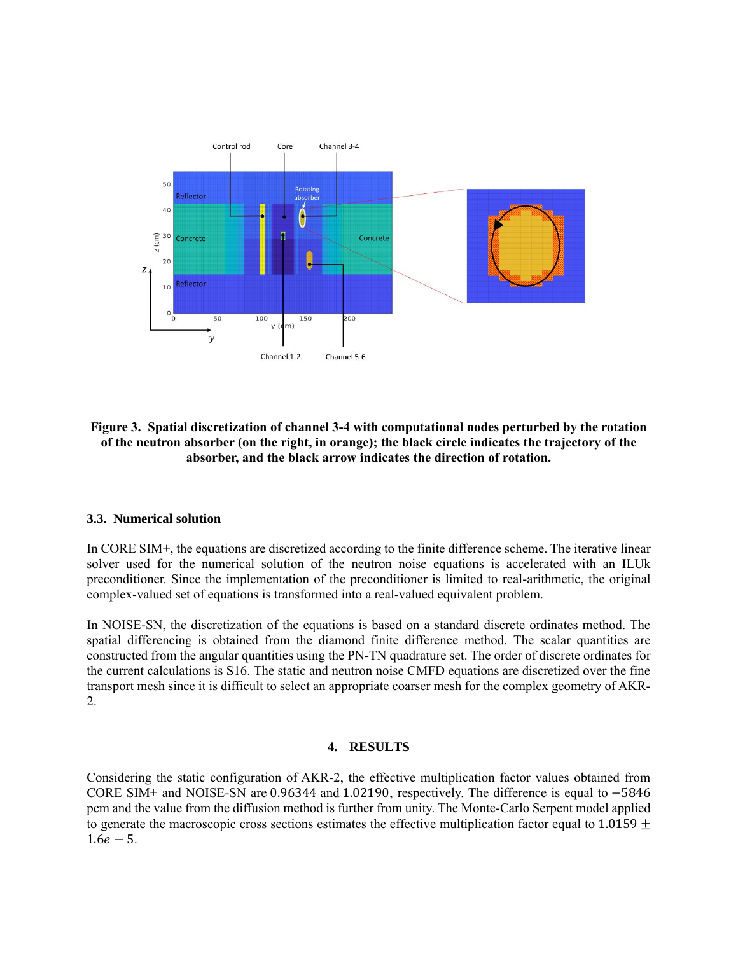

**Figure 3. Spatial discretization of channel 3-4 with computational nodes perturbed by the rotation of the neutron absorber (on the right, in orange); the black circle indicates the trajectory of the absorber, and the black arrow indicates the direction of rotation.**

#### **3.3. Numerical solution**

In CORE SIM+, the equations are discretized according to the finite difference scheme. The iterative linear solver used for the numerical solution of the neutron noise equations is accelerated with an ILUk preconditioner. Since the implementation of the preconditioner is limited to real-arithmetic, the original complex-valued set of equations is transformed into a real-valued equivalent problem.

In NOISE-SN, the discretization of the equations is based on a standard discrete ordinates method. The spatial differencing is obtained from the diamond finite difference method. The scalar quantities are constructed from the angular quantities using the PN-TN quadrature set. The order of discrete ordinates for the current calculations is S16. The static and neutron noise CMFD equations are discretized over the fine transport mesh since it is difficult to select an appropriate coarser mesh for the complex geometry of AKR-2.

#### **4. RESULTS**

Considering the static configuration of AKR-2, the effective multiplication factor values obtained from CORE SIM+ and NOISE-SN are 0.96344 and 1.02190, respectively. The difference is equal to −5846 pcm and the value from the diffusion method is further from unity. The Monte-Carlo Serpent model applied to generate the macroscopic cross sections estimates the effective multiplication factor equal to 1.0159  $\pm$  $1.6e - 5.$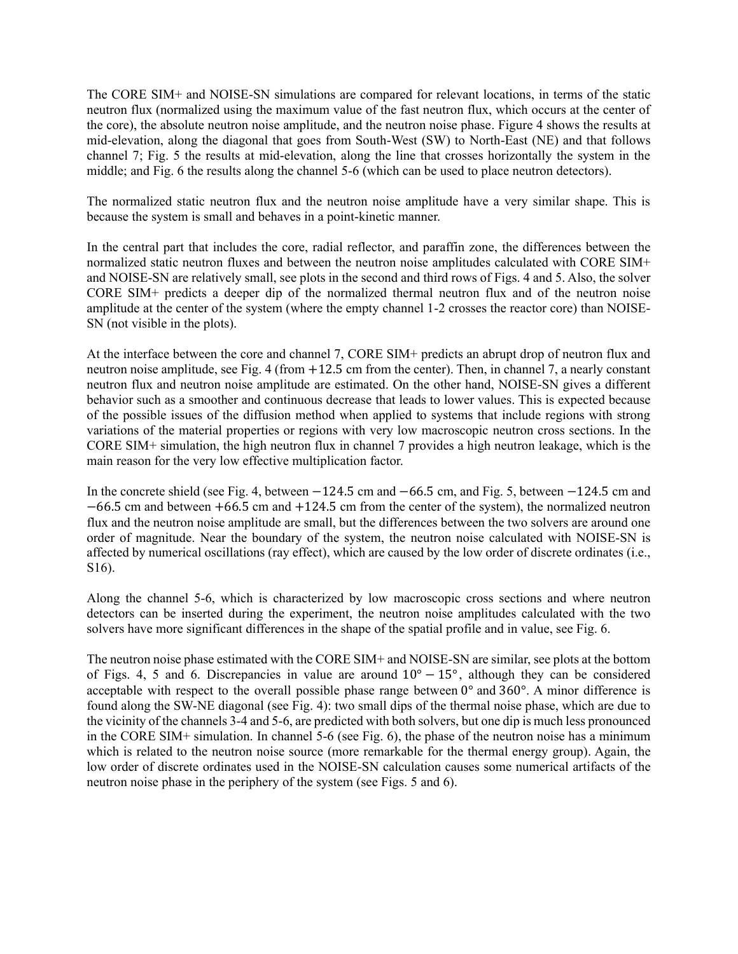The CORE SIM+ and NOISE-SN simulations are compared for relevant locations, in terms of the static neutron flux (normalized using the maximum value of the fast neutron flux, which occurs at the center of the core), the absolute neutron noise amplitude, and the neutron noise phase. Figure 4 shows the results at mid-elevation, along the diagonal that goes from South-West (SW) to North-East (NE) and that follows channel 7; Fig. 5 the results at mid-elevation, along the line that crosses horizontally the system in the middle; and Fig. 6 the results along the channel 5-6 (which can be used to place neutron detectors).

The normalized static neutron flux and the neutron noise amplitude have a very similar shape. This is because the system is small and behaves in a point-kinetic manner.

In the central part that includes the core, radial reflector, and paraffin zone, the differences between the normalized static neutron fluxes and between the neutron noise amplitudes calculated with CORE SIM+ and NOISE-SN are relatively small, see plots in the second and third rows of Figs. 4 and 5. Also, the solver CORE SIM+ predicts a deeper dip of the normalized thermal neutron flux and of the neutron noise amplitude at the center of the system (where the empty channel 1-2 crosses the reactor core) than NOISE-SN (not visible in the plots).

At the interface between the core and channel 7, CORE SIM+ predicts an abrupt drop of neutron flux and neutron noise amplitude, see Fig. 4 (from +12.5 cm from the center). Then, in channel 7, a nearly constant neutron flux and neutron noise amplitude are estimated. On the other hand, NOISE-SN gives a different behavior such as a smoother and continuous decrease that leads to lower values. This is expected because of the possible issues of the diffusion method when applied to systems that include regions with strong variations of the material properties or regions with very low macroscopic neutron cross sections. In the CORE SIM+ simulation, the high neutron flux in channel 7 provides a high neutron leakage, which is the main reason for the very low effective multiplication factor.

In the concrete shield (see Fig. 4, between −124.5 cm and −66.5 cm, and Fig. 5, between −124.5 cm and −66.5 cm and between +66.5 cm and +124.5 cm from the center of the system), the normalized neutron flux and the neutron noise amplitude are small, but the differences between the two solvers are around one order of magnitude. Near the boundary of the system, the neutron noise calculated with NOISE-SN is affected by numerical oscillations (ray effect), which are caused by the low order of discrete ordinates (i.e., S16).

Along the channel 5-6, which is characterized by low macroscopic cross sections and where neutron detectors can be inserted during the experiment, the neutron noise amplitudes calculated with the two solvers have more significant differences in the shape of the spatial profile and in value, see Fig. 6.

The neutron noise phase estimated with the CORE SIM+ and NOISE-SN are similar, see plots at the bottom of Figs. 4, 5 and 6. Discrepancies in value are around 10° − 15° , although they can be considered acceptable with respect to the overall possible phase range between 0° and 360°. A minor difference is found along the SW-NE diagonal (see Fig. 4): two small dips of the thermal noise phase, which are due to the vicinity of the channels 3-4 and 5-6, are predicted with both solvers, but one dip is much less pronounced in the CORE SIM+ simulation. In channel 5-6 (see Fig. 6), the phase of the neutron noise has a minimum which is related to the neutron noise source (more remarkable for the thermal energy group). Again, the low order of discrete ordinates used in the NOISE-SN calculation causes some numerical artifacts of the neutron noise phase in the periphery of the system (see Figs. 5 and 6).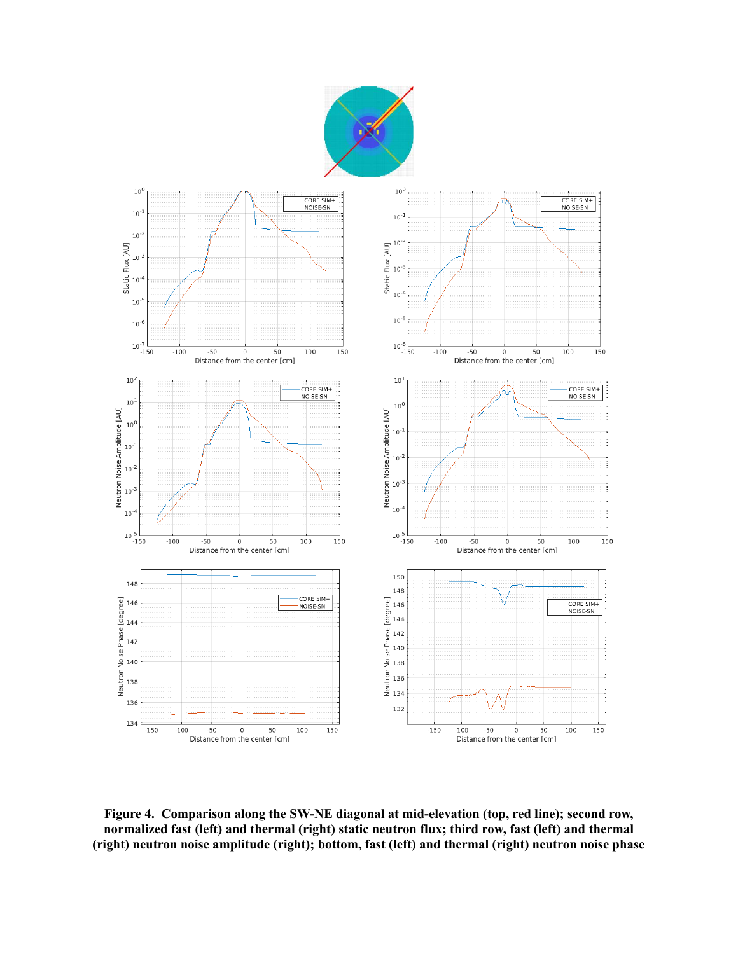



**Figure 4. Comparison along the SW-NE diagonal at mid-elevation (top, red line); second row, normalized fast (left) and thermal (right) static neutron flux; third row, fast (left) and thermal (right) neutron noise amplitude (right); bottom, fast (left) and thermal (right) neutron noise phase**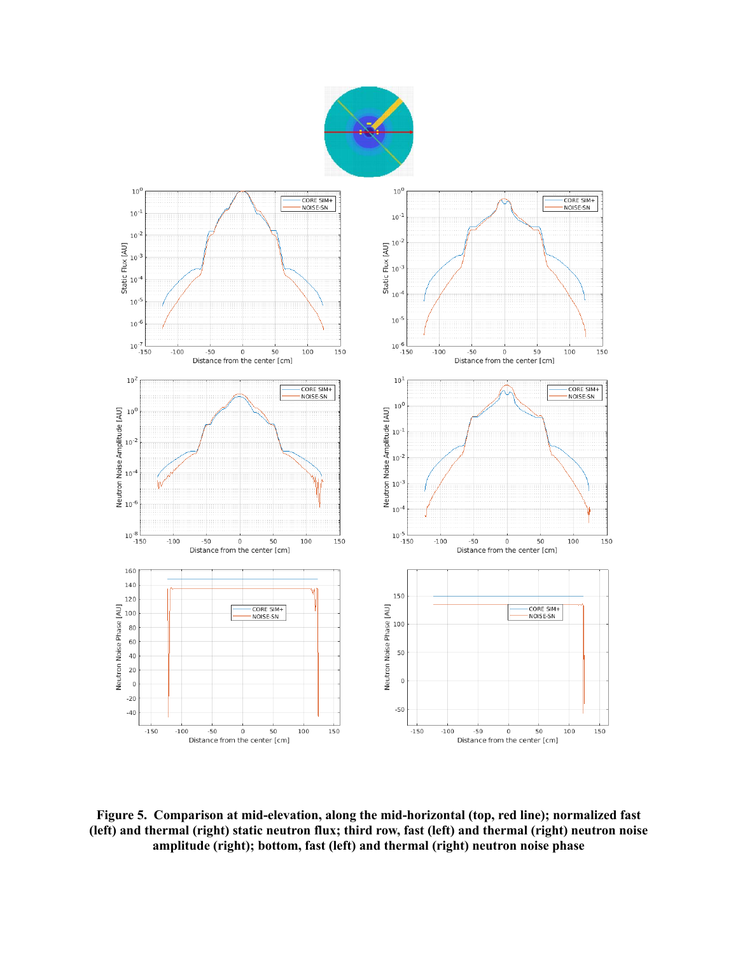



**Figure 5. Comparison at mid-elevation, along the mid-horizontal (top, red line); normalized fast (left) and thermal (right) static neutron flux; third row, fast (left) and thermal (right) neutron noise amplitude (right); bottom, fast (left) and thermal (right) neutron noise phase**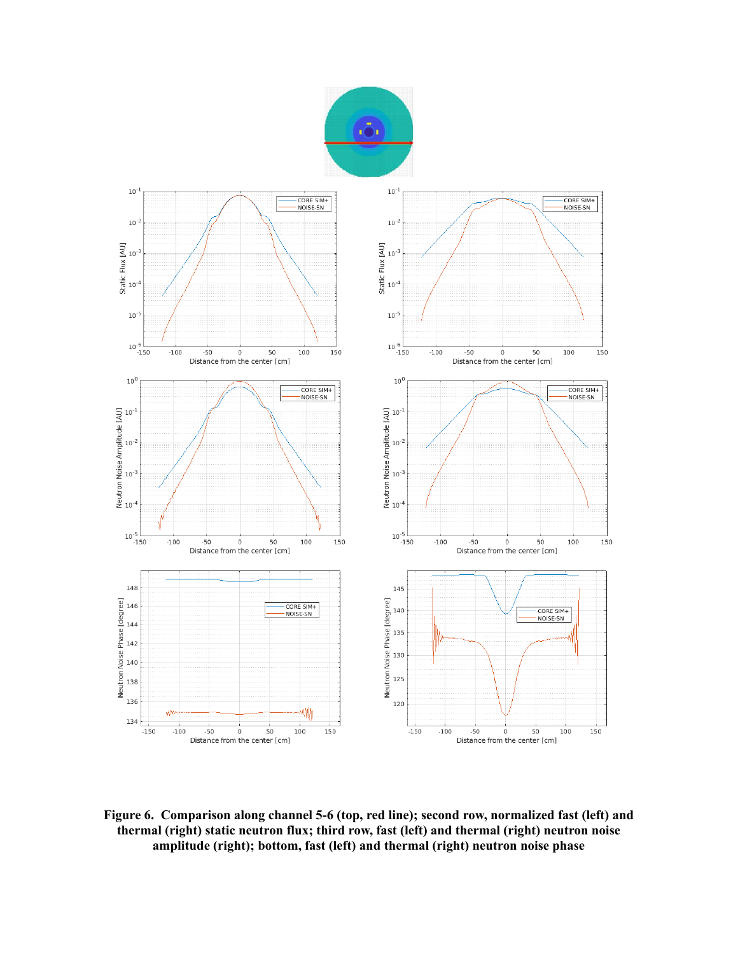



**Figure 6. Comparison along channel 5-6 (top, red line); second row, normalized fast (left) and thermal (right) static neutron flux; third row, fast (left) and thermal (right) neutron noise amplitude (right); bottom, fast (left) and thermal (right) neutron noise phase**